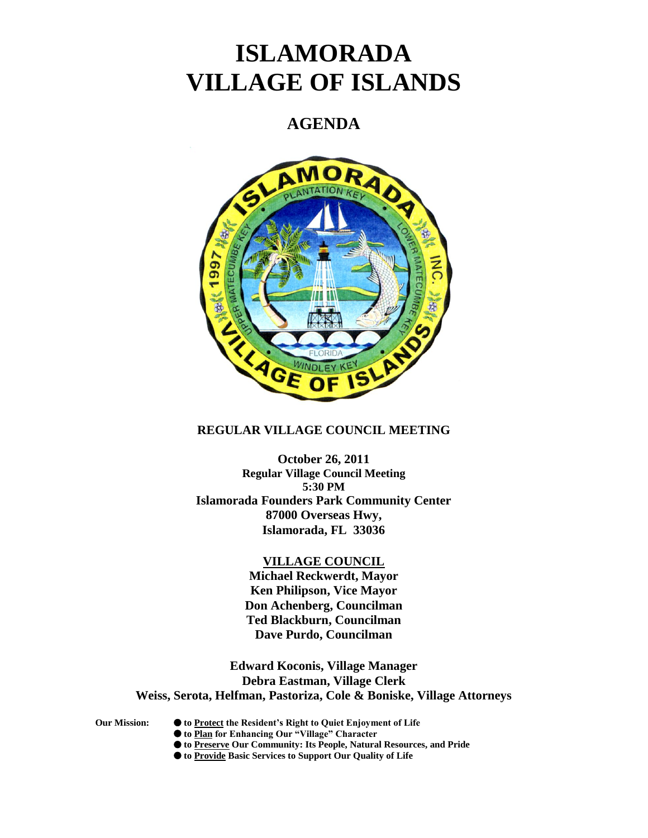# **ISLAMORADA VILLAGE OF ISLANDS**

# **AGENDA**



# **REGULAR VILLAGE COUNCIL MEETING**

**October 26, 2011 Regular Village Council Meeting 5:30 PM Islamorada Founders Park Community Center 87000 Overseas Hwy, Islamorada, FL 33036**

# **VILLAGE COUNCIL**

**Michael Reckwerdt, Mayor Ken Philipson, Vice Mayor Don Achenberg, Councilman Ted Blackburn, Councilman Dave Purdo, Councilman**

**Edward Koconis, Village Manager Debra Eastman, Village Clerk Weiss, Serota, Helfman, Pastoriza, Cole & Boniske, Village Attorneys**

- **Our Mission: to Protect the Resident's Right to Quiet Enjoyment of Life**
	- **to Plan for Enhancing Our "Village" Character**
	- **to Preserve Our Community: Its People, Natural Resources, and Pride**
	- **to Provide Basic Services to Support Our Quality of Life**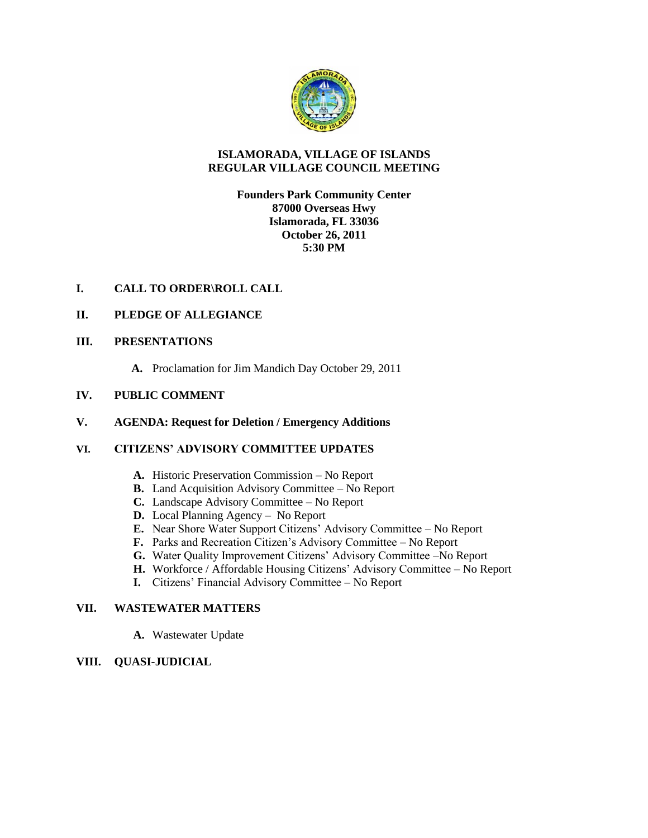

# **ISLAMORADA, VILLAGE OF ISLANDS REGULAR VILLAGE COUNCIL MEETING**

# **Founders Park Community Center 87000 Overseas Hwy Islamorada, FL 33036 October 26, 2011 5:30 PM**

# **I. CALL TO ORDER\ROLL CALL**

# **II. PLEDGE OF ALLEGIANCE**

# **III. PRESENTATIONS**

**A.** Proclamation for Jim Mandich Day October 29, 2011

# **IV. PUBLIC COMMENT**

# **V. AGENDA: Request for Deletion / Emergency Additions**

# **VI. CITIZENS' ADVISORY COMMITTEE UPDATES**

- **A.** Historic Preservation Commission No Report
- **B.** Land Acquisition Advisory Committee No Report
- **C.** Landscape Advisory Committee No Report
- **D.** Local Planning Agency No Report
- **E.** Near Shore Water Support Citizens' Advisory Committee No Report
- **F.** Parks and Recreation Citizen's Advisory Committee No Report
- **G.** Water Quality Improvement Citizens' Advisory Committee –No Report
- **H.** Workforce / Affordable Housing Citizens' Advisory Committee No Report
- **I.** Citizens' Financial Advisory Committee No Report

# **VII. WASTEWATER MATTERS**

**A.** Wastewater Update

# **VIII. QUASI-JUDICIAL**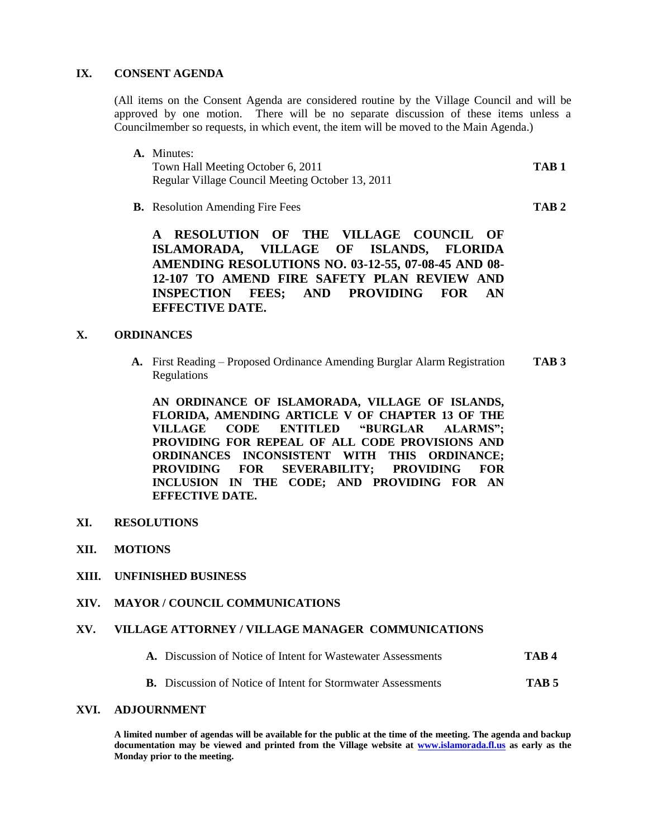#### **IX. CONSENT AGENDA**

(All items on the Consent Agenda are considered routine by the Village Council and will be approved by one motion. There will be no separate discussion of these items unless a Councilmember so requests, in which event, the item will be moved to the Main Agenda.)

- **A.** Minutes: Town Hall Meeting October 6, 2011 **TAB 1** Regular Village Council Meeting October 13, 2011
- **B.** Resolution Amending Fire Fees **TAB 2**

**A RESOLUTION OF THE VILLAGE COUNCIL OF ISLAMORADA, VILLAGE OF ISLANDS, FLORIDA AMENDING RESOLUTIONS NO. 03-12-55, 07-08-45 AND 08- 12-107 TO AMEND FIRE SAFETY PLAN REVIEW AND INSPECTION FEES; AND PROVIDING FOR AN EFFECTIVE DATE.**

# **X. ORDINANCES**

**A.** First Reading – Proposed Ordinance Amending Burglar Alarm Registration **TAB 3** Regulations

**AN ORDINANCE OF ISLAMORADA, VILLAGE OF ISLANDS, FLORIDA, AMENDING ARTICLE V OF CHAPTER 13 OF THE VILLAGE CODE ENTITLED "BURGLAR ALARMS"; PROVIDING FOR REPEAL OF ALL CODE PROVISIONS AND ORDINANCES INCONSISTENT WITH THIS ORDINANCE; PROVIDING FOR SEVERABILITY; PROVIDING FOR INCLUSION IN THE CODE; AND PROVIDING FOR AN EFFECTIVE DATE.**

- **XI. RESOLUTIONS**
- **XII. MOTIONS**
- **XIII. UNFINISHED BUSINESS**
- **XIV. MAYOR / COUNCIL COMMUNICATIONS**

#### **XV. VILLAGE ATTORNEY / VILLAGE MANAGER COMMUNICATIONS**

- **A.** Discussion of Notice of Intent for Wastewater Assessments **TAB 4**
- **B.** Discussion of Notice of Intent for Stormwater Assessments **TAB 5**

# **XVI. ADJOURNMENT**

**A limited number of agendas will be available for the public at the time of the meeting. The agenda and backup documentation may be viewed and printed from the Village website at [www.islamorada.fl.us](http://www.islamorada.fl.us/) as early as the Monday prior to the meeting.**